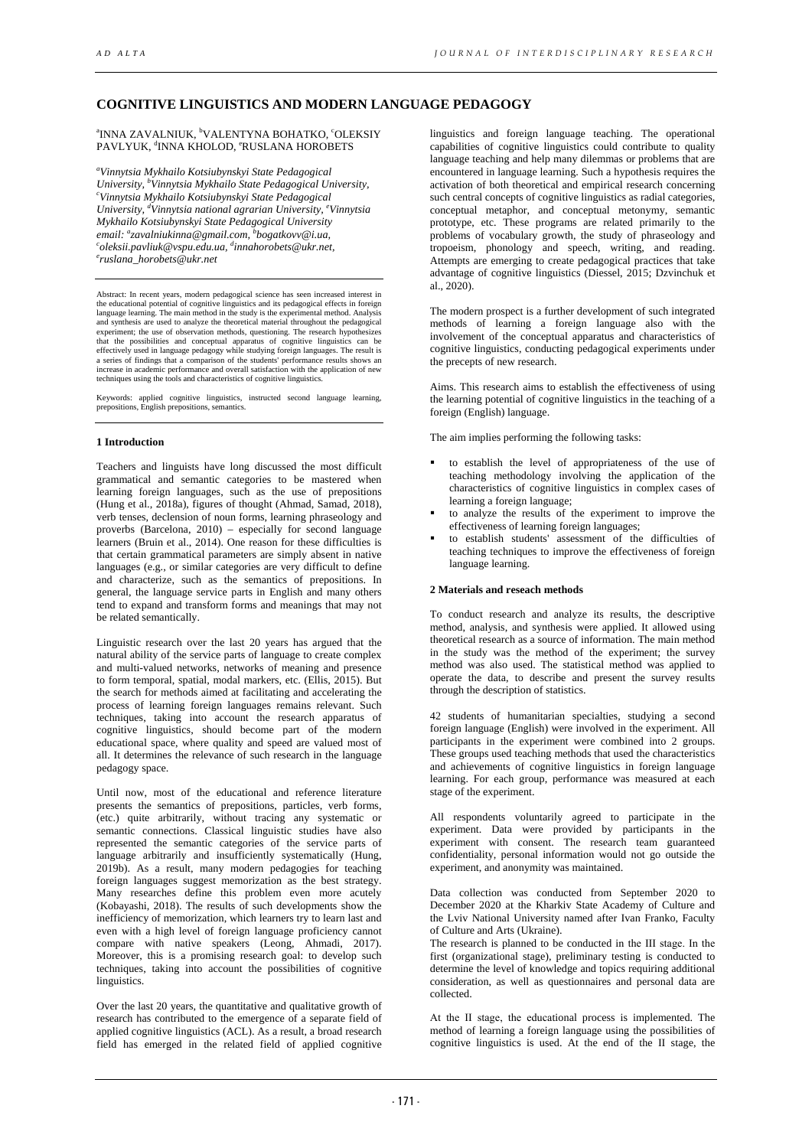# **COGNITIVE LINGUISTICS AND MODERN LANGUAGE PEDAGOGY**

<sup>a</sup>INNA ZAVALNIUK, <sup>b</sup>VALENTYNA BOHATKO, ʿOLEKSIY PAVLYUK, <sup>d</sup>INNA KHOLOD, °RUSLANA HOROBETS

*a Vinnytsia Mykhailo Kotsiubynskyi State Pedagogical University, b Vinnytsia Mykhailo State Pedagogical University, c Vinnytsia Mykhailo Kotsiubynskyi State Pedagogical University, d Vinnytsia national agrarian University, e Vinnytsia email: a zavalniukinna@gmail.com, b Mykhailo Kotsiubynskyi State Pedagogical University* email: <sup>a</sup>zavalniukinna@gmail.com, <sup>b</sup>bogatkovv@i.ua,<br><sup>c</sup>oleksii.pavliuk@vspu.edu.ua, <sup>d</sup>innahorobets@ukr.net,<br><sup>e</sup>ruslana, horobets@ukr.net *ruslana\_horobets@ukr.net*

Abstract: In recent years, modern pedagogical science has seen increased interest in the educational potential of cognitive linguistics and its pedagogical effects in foreign<br>language learning. The main method in the study is the experimental method. Analysis<br>and synthesis are used to analyze the theoretic experiment; the use of observation methods, questioning. The research hypothesizes that the possibilities and conceptual apparatus of cognitive linguistics can be effectively used in language pedagogy while studying foreign languages. The result is<br>a series of findings that a comparison of the students' performance results shows an<br>increase in academic performance and overall satisf

Keywords: applied cognitive linguistics, instructed second language learning, prepositions, English prepositions, semantics.

## **1 Introduction**

Teachers and linguists have long discussed the most difficult grammatical and semantic categories to be mastered when learning foreign languages, such as the use of prepositions (Hung et al., 2018a), figures of thought (Ahmad, Samad, 2018), verb tenses, declension of noun forms, learning phraseology and proverbs (Barcelona, 2010) – especially for second language learners (Bruin et al., 2014). One reason for these difficulties is that certain grammatical parameters are simply absent in native languages (e.g., or similar categories are very difficult to define and characterize, such as the semantics of prepositions. In general, the language service parts in English and many others tend to expand and transform forms and meanings that may not be related semantically.

Linguistic research over the last 20 years has argued that the natural ability of the service parts of language to create complex and multi-valued networks, networks of meaning and presence to form temporal, spatial, modal markers, etc. (Ellis, 2015). But the search for methods aimed at facilitating and accelerating the process of learning foreign languages remains relevant. Such techniques, taking into account the research apparatus of cognitive linguistics, should become part of the modern educational space, where quality and speed are valued most of all. It determines the relevance of such research in the language pedagogy space.

Until now, most of the educational and reference literature presents the semantics of prepositions, particles, verb forms, (etc.) quite arbitrarily, without tracing any systematic or semantic connections. Classical linguistic studies have also represented the semantic categories of the service parts of language arbitrarily and insufficiently systematically (Hung, 2019b). As a result, many modern pedagogies for teaching foreign languages suggest memorization as the best strategy. Many researches define this problem even more acutely (Kobayashi, 2018). The results of such developments show the inefficiency of memorization, which learners try to learn last and even with a high level of foreign language proficiency cannot compare with native speakers (Leong, Ahmadi, 2017). Moreover, this is a promising research goal: to develop such techniques, taking into account the possibilities of cognitive linguistics.

Over the last 20 years, the quantitative and qualitative growth of research has contributed to the emergence of a separate field of applied cognitive linguistics (ACL). As a result, a broad research field has emerged in the related field of applied cognitive

linguistics and foreign language teaching. The operational capabilities of cognitive linguistics could contribute to quality language teaching and help many dilemmas or problems that are encountered in language learning. Such a hypothesis requires the activation of both theoretical and empirical research concerning such central concepts of cognitive linguistics as radial categories, conceptual metaphor, and conceptual metonymy, semantic prototype, etc. These programs are related primarily to the problems of vocabulary growth, the study of phraseology and tropoeism, phonology and speech, writing, and reading. Attempts are emerging to create pedagogical practices that take advantage of cognitive linguistics (Diessel, 2015; Dzvinchuk et al., 2020).

The modern prospect is a further development of such integrated methods of learning a foreign language also with the involvement of the conceptual apparatus and characteristics of cognitive linguistics, conducting pedagogical experiments under the precepts of new research.

Aims. This research aims to establish the effectiveness of using the learning potential of cognitive linguistics in the teaching of a foreign (English) language.

The aim implies performing the following tasks:

- to establish the level of appropriateness of the use of teaching methodology involving the application of the characteristics of cognitive linguistics in complex cases of learning a foreign language;
- to analyze the results of the experiment to improve the effectiveness of learning foreign languages;
- to establish students' assessment of the difficulties of teaching techniques to improve the effectiveness of foreign language learning.

# **2 Materials and reseach methods**

To conduct research and analyze its results, the descriptive method, analysis, and synthesis were applied. It allowed using theoretical research as a source of information. The main method in the study was the method of the experiment; the survey method was also used. The statistical method was applied to operate the data, to describe and present the survey results through the description of statistics.

42 students of humanitarian specialties, studying a second foreign language (English) were involved in the experiment. All participants in the experiment were combined into 2 groups. These groups used teaching methods that used the characteristics and achievements of cognitive linguistics in foreign language learning. For each group, performance was measured at each stage of the experiment.

All respondents voluntarily agreed to participate in the experiment. Data were provided by participants in the experiment with consent. The research team guaranteed confidentiality, personal information would not go outside the experiment, and anonymity was maintained.

Data collection was conducted from September 2020 to December 2020 at the Kharkiv State Academy of Culture and the Lviv National University named after Ivan Franko, Faculty of Culture and Arts (Ukraine).

The research is planned to be conducted in the ІІІ stage. In the first (organizational stage), preliminary testing is conducted to determine the level of knowledge and topics requiring additional consideration, as well as questionnaires and personal data are collected.

At the ІІ stage, the educational process is implemented. The method of learning a foreign language using the possibilities of cognitive linguistics is used. At the end of the II stage, the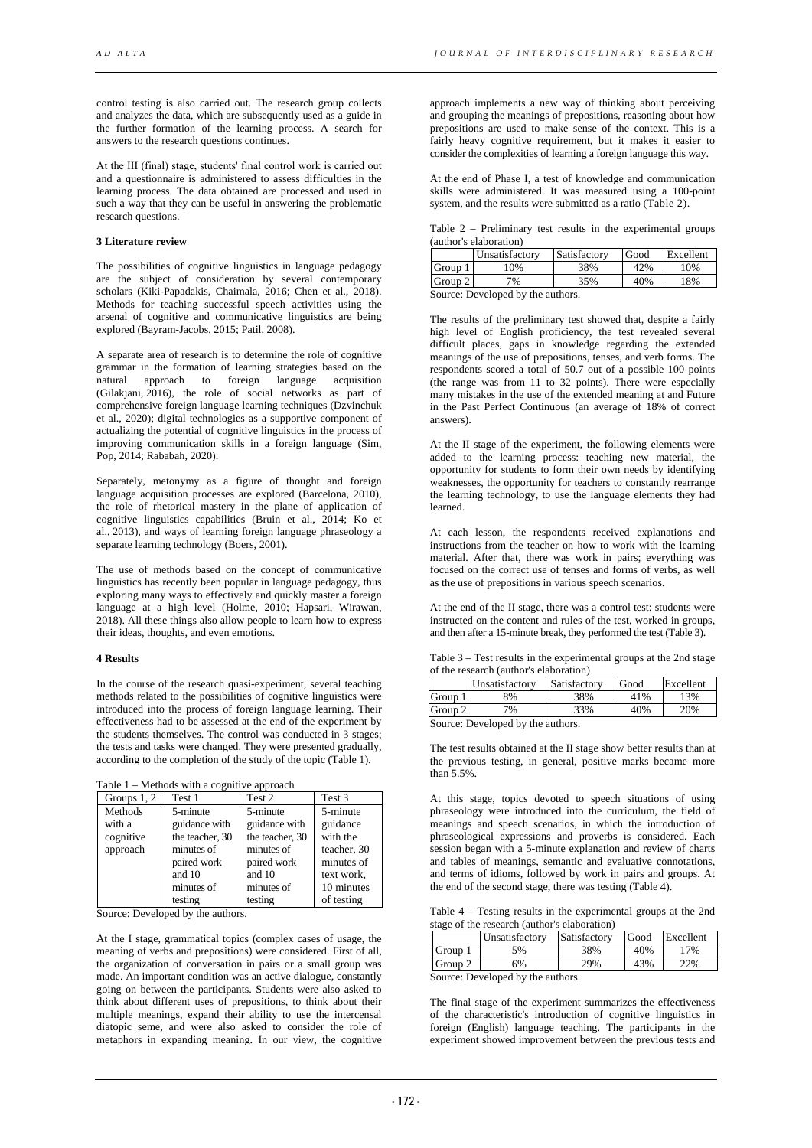control testing is also carried out. The research group collects and analyzes the data, which are subsequently used as a guide in the further formation of the learning process. A search for answers to the research questions continues.

At the ІІІ (final) stage, students' final control work is carried out and a questionnaire is administered to assess difficulties in the learning process. The data obtained are processed and used in such a way that they can be useful in answering the problematic research questions.

### **3 Literature review**

The possibilities of cognitive linguistics in language pedagogy are the subject of consideration by several contemporary scholars (Kiki-Papadakis, Chaimala, 2016; Chen et al., 2018). Methods for teaching successful speech activities using the arsenal of cognitive and communicative linguistics are being explored (Bayram-Jacobs, 2015; Patil, 2008).

A separate area of research is to determine the role of cognitive grammar in the formation of learning strategies based on the approach to foreign language acquisition (Gilakjani, 2016), the role of social networks as part of comprehensive foreign language learning techniques (Dzvinchuk et al., 2020); digital technologies as a supportive component of actualizing the potential of cognitive linguistics in the process of improving communication skills in a foreign language (Sim, Pop, 2014; Rababah, 2020).

Separately, metonymy as a figure of thought and foreign language acquisition processes are explored (Barcelona, 2010), the role of rhetorical mastery in the plane of application of cognitive linguistics capabilities (Bruin et al., 2014; Ko et al., 2013), and ways of learning foreign language phraseology a separate learning technology (Boers, 2001).

The use of methods based on the concept of communicative linguistics has recently been popular in language pedagogy, thus exploring many ways to effectively and quickly master a foreign language at a high level (Holme, 2010; Hapsari, Wirawan, 2018). All these things also allow people to learn how to express their ideas, thoughts, and even emotions.

#### **4 Results**

In the course of the research quasi-experiment, several teaching methods related to the possibilities of cognitive linguistics were introduced into the process of foreign language learning. Their effectiveness had to be assessed at the end of the experiment by the students themselves. The control was conducted in 3 stages; the tests and tasks were changed. They were presented gradually, according to the completion of the study of the topic (Table 1).

Table 1 – Methods with a cognitive approach

| Groups $1, 2$ | Test 1          | Test 2          | Test 3      |
|---------------|-----------------|-----------------|-------------|
| Methods       | 5-minute        | 5-minute        | 5-minute    |
| with a        | guidance with   | guidance with   | guidance    |
| cognitive     | the teacher, 30 | the teacher, 30 | with the    |
| approach      | minutes of      | minutes of      | teacher, 30 |
|               | paired work     | paired work     | minutes of  |
|               | and 10          | and 10          | text work.  |
|               | minutes of      | minutes of      | 10 minutes  |
|               | testing         | testing         | of testing  |

Source: Developed by the authors.

At the I stage, grammatical topics (complex cases of usage, the meaning of verbs and prepositions) were considered. First of all, the organization of conversation in pairs or a small group was made. An important condition was an active dialogue, constantly going on between the participants. Students were also asked to think about different uses of prepositions, to think about their multiple meanings, expand their ability to use the intercensal diatopic seme, and were also asked to consider the role of metaphors in expanding meaning. In our view, the cognitive

approach implements a new way of thinking about perceiving and grouping the meanings of prepositions, reasoning about how prepositions are used to make sense of the context. This is a fairly heavy cognitive requirement, but it makes it easier to consider the complexities of learning a foreign language this way.

At the end of Phase I, a test of knowledge and communication skills were administered. It was measured using a 100-point system, and the results were submitted as a ratio (Table 2).

Table 2 – Preliminary test results in the experimental groups (author's elaboration)

|         | Unsatisfactory | Satisfactory | Good | Excellent |
|---------|----------------|--------------|------|-----------|
| Group   | 10%            | 38%          | 42%  | 10%       |
| Group 2 | 7%             | 35%          | 40%  | 18%       |

Source: Developed by the authors.

The results of the preliminary test showed that, despite a fairly high level of English proficiency, the test revealed several difficult places, gaps in knowledge regarding the extended meanings of the use of prepositions, tenses, and verb forms. The respondents scored a total of 50.7 out of a possible 100 points (the range was from 11 to 32 points). There were especially many mistakes in the use of the extended meaning at and Future in the Past Perfect Continuous (an average of 18% of correct answers).

At the II stage of the experiment, the following elements were added to the learning process: teaching new material, the opportunity for students to form their own needs by identifying weaknesses, the opportunity for teachers to constantly rearrange the learning technology, to use the language elements they had learned.

At each lesson, the respondents received explanations and instructions from the teacher on how to work with the learning material. After that, there was work in pairs; everything was focused on the correct use of tenses and forms of verbs, as well as the use of prepositions in various speech scenarios.

At the end of the II stage, there was a control test: students were instructed on the content and rules of the test, worked in groups, and then after a 15-minute break, they performed the test (Table 3).

Table 3 – Test results in the experimental groups at the 2nd stage of the research (author's elaboration)

|         | <b>Unsatisfactory</b> | Satisfactory | Good | Excellent |
|---------|-----------------------|--------------|------|-----------|
| Group   | 3%                    | 38%          | 41%  | 13%       |
| Group 2 | 7%                    | 33%          | 40%  | 20%       |
|         |                       |              |      |           |

Source: Developed by the authors.

The test results obtained at the II stage show better results than at the previous testing, in general, positive marks became more than 5.5%.

At this stage, topics devoted to speech situations of using phraseology were introduced into the curriculum, the field of meanings and speech scenarios, in which the introduction of phraseological expressions and proverbs is considered. Each session began with a 5-minute explanation and review of charts and tables of meanings, semantic and evaluative connotations, and terms of idioms, followed by work in pairs and groups. At the end of the second stage, there was testing (Table 4).

Table 4 – Testing results in the experimental groups at the 2nd stage of the research (author's elaboration)

|                                   | Unsatisfactory | Satisfactory | Good | Excellent |
|-----------------------------------|----------------|--------------|------|-----------|
| Group 1                           | 5%             | 38%          | 40%  | 7%        |
| Group 2                           | 6%             | 29%          | 43%  | 22%       |
| Source: Developed by the authors. |                |              |      |           |

The final stage of the experiment summarizes the effectiveness of the characteristic's introduction of cognitive linguistics in foreign (English) language teaching. The participants in the experiment showed improvement between the previous tests and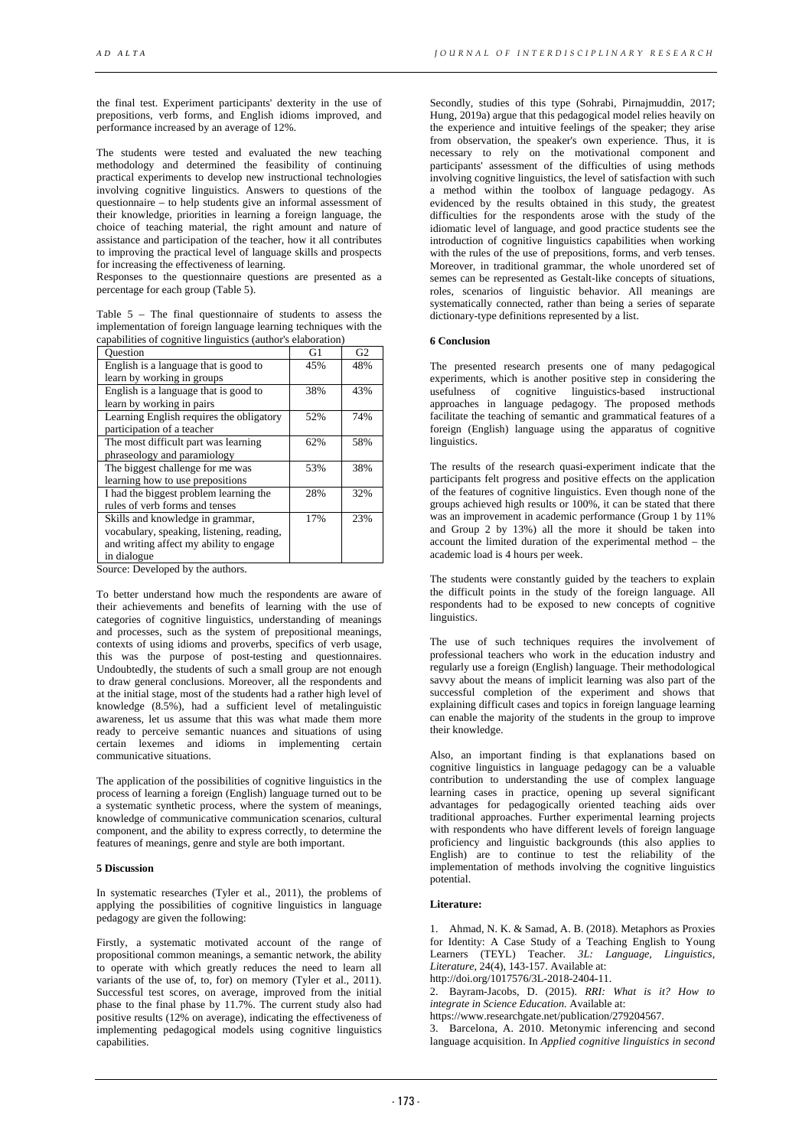the final test. Experiment participants' dexterity in the use of prepositions, verb forms, and English idioms improved, and performance increased by an average of 12%.

The students were tested and evaluated the new teaching methodology and determined the feasibility of continuing practical experiments to develop new instructional technologies involving cognitive linguistics. Answers to questions of the questionnaire – to help students give an informal assessment of their knowledge, priorities in learning a foreign language, the choice of teaching material, the right amount and nature of assistance and participation of the teacher, how it all contributes to improving the practical level of language skills and prospects for increasing the effectiveness of learning.

Responses to the questionnaire questions are presented as a percentage for each group (Table 5).

Table 5 – The final questionnaire of students to assess the implementation of foreign language learning techniques with the capabilities of cognitive linguistics (author's elaboration)

| <b>Ouestion</b>                           | G1  | G <sub>2</sub> |
|-------------------------------------------|-----|----------------|
| English is a language that is good to     | 45% | 48%            |
| learn by working in groups                |     |                |
| English is a language that is good to     | 38% | 43%            |
| learn by working in pairs                 |     |                |
| Learning English requires the obligatory  | 52% | 74%            |
| participation of a teacher                |     |                |
| The most difficult part was learning      | 62% | 58%            |
| phraseology and paramiology               |     |                |
| The biggest challenge for me was          | 53% | 38%            |
| learning how to use prepositions          |     |                |
| I had the biggest problem learning the    | 28% | 32%            |
| rules of verb forms and tenses            |     |                |
| Skills and knowledge in grammar,          | 17% | 23%            |
| vocabulary, speaking, listening, reading, |     |                |
| and writing affect my ability to engage   |     |                |
| in dialogue                               |     |                |
| $0 - 1 - 0$                               |     |                |

Source: Developed by the authors.

To better understand how much the respondents are aware of their achievements and benefits of learning with the use of categories of cognitive linguistics, understanding of meanings and processes, such as the system of prepositional meanings, contexts of using idioms and proverbs, specifics of verb usage, this was the purpose of post-testing and questionnaires. Undoubtedly, the students of such a small group are not enough to draw general conclusions. Moreover, all the respondents and at the initial stage, most of the students had a rather high level of knowledge (8.5%), had a sufficient level of metalinguistic awareness, let us assume that this was what made them more ready to perceive semantic nuances and situations of using certain lexemes and idioms in implementing certain communicative situations.

The application of the possibilities of cognitive linguistics in the process of learning a foreign (English) language turned out to be a systematic synthetic process, where the system of meanings, knowledge of communicative communication scenarios, cultural component, and the ability to express correctly, to determine the features of meanings, genre and style are both important.

#### **5 Discussion**

In systematic researches (Tyler et al., 2011), the problems of applying the possibilities of cognitive linguistics in language pedagogy are given the following:

Firstly, a systematic motivated account of the range of propositional common meanings, a semantic network, the ability to operate with which greatly reduces the need to learn all variants of the use of, to, for) on memory (Tyler et al., 2011). Successful test scores, on average, improved from the initial phase to the final phase by 11.7%. The current study also had positive results (12% on average), indicating the effectiveness of implementing pedagogical models using cognitive linguistics capabilities.

Secondly, studies of this type (Sohrabi, Pirnajmuddin, 2017; Hung, 2019a) argue that this pedagogical model relies heavily on the experience and intuitive feelings of the speaker; they arise from observation, the speaker's own experience. Thus, it is necessary to rely on the motivational component and participants' assessment of the difficulties of using methods involving cognitive linguistics, the level of satisfaction with such a method within the toolbox of language pedagogy. As evidenced by the results obtained in this study, the greatest difficulties for the respondents arose with the study of the idiomatic level of language, and good practice students see the introduction of cognitive linguistics capabilities when working with the rules of the use of prepositions, forms, and verb tenses. Moreover, in traditional grammar, the whole unordered set of semes can be represented as Gestalt-like concepts of situations, roles, scenarios of linguistic behavior. All meanings are systematically connected, rather than being a series of separate dictionary-type definitions represented by a list.

#### **6 Conclusion**

The presented research presents one of many pedagogical experiments, which is another positive step in considering the usefulness of cognitive linguistics-based instructional approaches in language pedagogy. The proposed methods facilitate the teaching of semantic and grammatical features of a foreign (English) language using the apparatus of cognitive linguistics.

The results of the research quasi-experiment indicate that the participants felt progress and positive effects on the application of the features of cognitive linguistics. Even though none of the groups achieved high results or 100%, it can be stated that there was an improvement in academic performance (Group 1 by 11%) and Group 2 by 13%) all the more it should be taken into account the limited duration of the experimental method – the academic load is 4 hours per week.

The students were constantly guided by the teachers to explain the difficult points in the study of the foreign language. All respondents had to be exposed to new concepts of cognitive linguistics.

The use of such techniques requires the involvement of professional teachers who work in the education industry and regularly use a foreign (English) language. Their methodological savvy about the means of implicit learning was also part of the successful completion of the experiment and shows that explaining difficult cases and topics in foreign language learning can enable the majority of the students in the group to improve their knowledge.

Also, an important finding is that explanations based on cognitive linguistics in language pedagogy can be a valuable contribution to understanding the use of complex language learning cases in practice, opening up several significant advantages for pedagogically oriented teaching aids over traditional approaches. Further experimental learning projects with respondents who have different levels of foreign language proficiency and linguistic backgrounds (this also applies to English) are to continue to test the reliability of the implementation of methods involving the cognitive linguistics potential.

## **Literature:**

1. Ahmad, N. K. & Samad, A. B. (2018). Metaphors as Proxies for Identity: A Case Study of a Teaching English to Young Learners (TEYL) Teacher. *3L: Language, Linguistics, Literature,* 24(4), 143-157. Available at:

http://doi.org/1017576/3L-2018-2404-11.

2. Bayram-Jacobs, D. (2015). *RRI: What is it? How to integrate in Science Education.* Available at:

https://www.researchgate.net/publication/279204567.

3. Barcelona, A. 2010. Metonymic inferencing and second language acquisition. In *Applied cognitive linguistics in second*